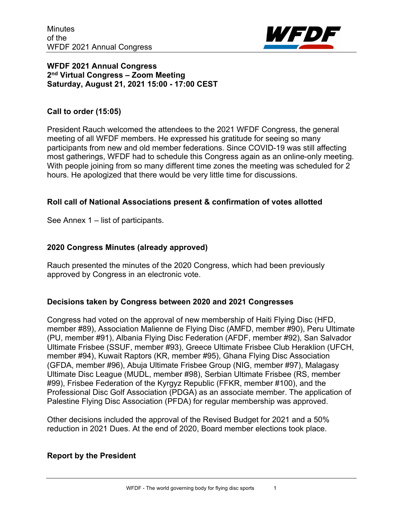

## **WFDF 2021 Annual Congress 2nd Virtual Congress – Zoom Meeting Saturday, August 21, 2021 15:00 - 17:00 CEST**

## **Call to order (15:05)**

President Rauch welcomed the attendees to the 2021 WFDF Congress, the general meeting of all WFDF members. He expressed his gratitude for seeing so many participants from new and old member federations. Since COVID-19 was still affecting most gatherings, WFDF had to schedule this Congress again as an online-only meeting. With people joining from so many different time zones the meeting was scheduled for 2 hours. He apologized that there would be very little time for discussions.

## **Roll call of National Associations present & confirmation of votes allotted**

See Annex 1 – list of participants.

## **2020 Congress Minutes (already approved)**

Rauch presented the minutes of the 2020 Congress, which had been previously approved by Congress in an electronic vote.

## **Decisions taken by Congress between 2020 and 2021 Congresses**

Congress had voted on the approval of new membership of Haiti Flying Disc (HFD, member #89), Association Malienne de Flying Disc (AMFD, member #90), Peru Ultimate (PU, member #91), Albania Flying Disc Federation (AFDF, member #92), San Salvador Ultimate Frisbee (SSUF, member #93), Greece Ultimate Frisbee Club Heraklion (UFCH, member #94), Kuwait Raptors (KR, member #95), Ghana Flying Disc Association (GFDA, member #96), Abuja Ultimate Frisbee Group (NIG, member #97), Malagasy Ultimate Disc League (MUDL, member #98), Serbian Ultimate Frisbee (RS, member #99), Frisbee Federation of the Kyrgyz Republic (FFKR, member #100), and the Professional Disc Golf Association (PDGA) as an associate member. The application of Palestine Flying Disc Association (PFDA) for regular membership was approved.

Other decisions included the approval of the Revised Budget for 2021 and a 50% reduction in 2021 Dues. At the end of 2020, Board member elections took place.

## **Report by the President**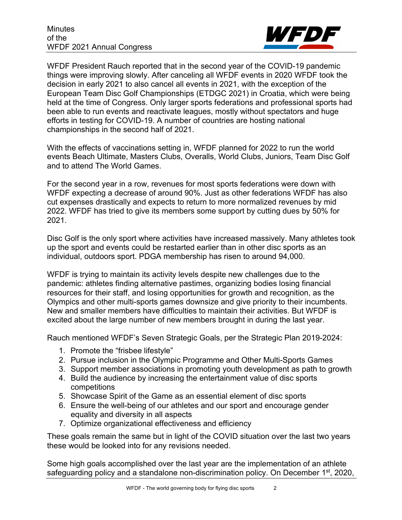

WFDF President Rauch reported that in the second year of the COVID-19 pandemic things were improving slowly. After canceling all WFDF events in 2020 WFDF took the decision in early 2021 to also cancel all events in 2021, with the exception of the European Team Disc Golf Championships (ETDGC 2021) in Croatia, which were being held at the time of Congress. Only larger sports federations and professional sports had been able to run events and reactivate leagues, mostly without spectators and huge efforts in testing for COVID-19. A number of countries are hosting national championships in the second half of 2021.

With the effects of vaccinations setting in, WFDF planned for 2022 to run the world events Beach Ultimate, Masters Clubs, Overalls, World Clubs, Juniors, Team Disc Golf and to attend The World Games.

For the second year in a row, revenues for most sports federations were down with WFDF expecting a decrease of around 90%. Just as other federations WFDF has also cut expenses drastically and expects to return to more normalized revenues by mid 2022. WFDF has tried to give its members some support by cutting dues by 50% for 2021.

Disc Golf is the only sport where activities have increased massively. Many athletes took up the sport and events could be restarted earlier than in other disc sports as an individual, outdoors sport. PDGA membership has risen to around 94,000.

WFDF is trying to maintain its activity levels despite new challenges due to the pandemic: athletes finding alternative pastimes, organizing bodies losing financial resources for their staff, and losing opportunities for growth and recognition, as the Olympics and other multi-sports games downsize and give priority to their incumbents. New and smaller members have difficulties to maintain their activities. But WFDF is excited about the large number of new members brought in during the last year.

Rauch mentioned WFDF's Seven Strategic Goals, per the Strategic Plan 2019-2024:

- 1. Promote the "frisbee lifestyle"
- 2. Pursue inclusion in the Olympic Programme and Other Multi-Sports Games
- 3. Support member associations in promoting youth development as path to growth
- 4. Build the audience by increasing the entertainment value of disc sports competitions
- 5. Showcase Spirit of the Game as an essential element of disc sports
- 6. Ensure the well-being of our athletes and our sport and encourage gender equality and diversity in all aspects
- 7. Optimize organizational effectiveness and efficiency

These goals remain the same but in light of the COVID situation over the last two years these would be looked into for any revisions needed.

Some high goals accomplished over the last year are the implementation of an athlete safeguarding policy and a standalone non-discrimination policy. On December  $1<sup>st</sup>$ , 2020,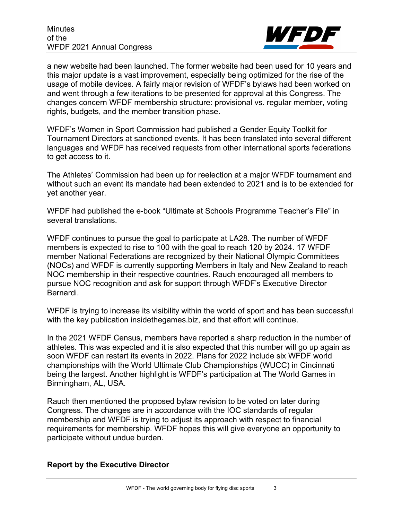

a new website had been launched. The former website had been used for 10 years and this major update is a vast improvement, especially being optimized for the rise of the usage of mobile devices. A fairly major revision of WFDF's bylaws had been worked on and went through a few iterations to be presented for approval at this Congress. The changes concern WFDF membership structure: provisional vs. regular member, voting rights, budgets, and the member transition phase.

WFDF's Women in Sport Commission had published a Gender Equity Toolkit for Tournament Directors at sanctioned events. It has been translated into several different languages and WFDF has received requests from other international sports federations to get access to it.

The Athletes' Commission had been up for reelection at a major WFDF tournament and without such an event its mandate had been extended to 2021 and is to be extended for yet another year.

WFDF had published the e-book "Ultimate at Schools Programme Teacher's File" in several translations.

WFDF continues to pursue the goal to participate at LA28. The number of WFDF members is expected to rise to 100 with the goal to reach 120 by 2024. 17 WFDF member National Federations are recognized by their National Olympic Committees (NOCs) and WFDF is currently supporting Members in Italy and New Zealand to reach NOC membership in their respective countries. Rauch encouraged all members to pursue NOC recognition and ask for support through WFDF's Executive Director Bernardi.

WFDF is trying to increase its visibility within the world of sport and has been successful with the key publication insidethegames.biz, and that effort will continue.

In the 2021 WFDF Census, members have reported a sharp reduction in the number of athletes. This was expected and it is also expected that this number will go up again as soon WFDF can restart its events in 2022. Plans for 2022 include six WFDF world championships with the World Ultimate Club Championships (WUCC) in Cincinnati being the largest. Another highlight is WFDF's participation at The World Games in Birmingham, AL, USA.

Rauch then mentioned the proposed bylaw revision to be voted on later during Congress. The changes are in accordance with the IOC standards of regular membership and WFDF is trying to adjust its approach with respect to financial requirements for membership. WFDF hopes this will give everyone an opportunity to participate without undue burden.

## **Report by the Executive Director**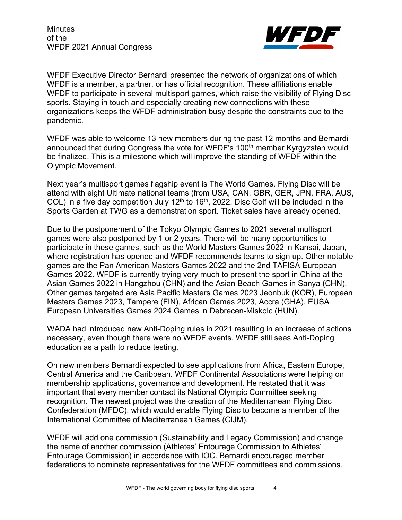

WFDF Executive Director Bernardi presented the network of organizations of which WFDF is a member, a partner, or has official recognition. These affiliations enable WFDF to participate in several multisport games, which raise the visibility of Flying Disc sports. Staying in touch and especially creating new connections with these organizations keeps the WFDF administration busy despite the constraints due to the pandemic.

WFDF was able to welcome 13 new members during the past 12 months and Bernardi announced that during Congress the vote for WFDF's 100<sup>th</sup> member Kyrgyzstan would be finalized. This is a milestone which will improve the standing of WFDF within the Olympic Movement.

Next year's multisport games flagship event is The World Games. Flying Disc will be attend with eight Ultimate national teams (from USA, CAN, GBR, GER, JPN, FRA, AUS, COL) in a five day competition July  $12<sup>th</sup>$  to  $16<sup>th</sup>$ , 2022. Disc Golf will be included in the Sports Garden at TWG as a demonstration sport. Ticket sales have already opened.

Due to the postponement of the Tokyo Olympic Games to 2021 several multisport games were also postponed by 1 or 2 years. There will be many opportunities to participate in these games, such as the World Masters Games 2022 in Kansai, Japan, where registration has opened and WFDF recommends teams to sign up. Other notable games are the Pan American Masters Games 2022 and the 2nd TAFISA European Games 2022. WFDF is currently trying very much to present the sport in China at the Asian Games 2022 in Hangzhou (CHN) and the Asian Beach Games in Sanya (CHN). Other games targeted are Asia Pacific Masters Games 2023 Jeonbuk (KOR), European Masters Games 2023, Tampere (FIN), African Games 2023, Accra (GHA), EUSA European Universities Games 2024 Games in Debrecen-Miskolc (HUN).

WADA had introduced new Anti-Doping rules in 2021 resulting in an increase of actions necessary, even though there were no WFDF events. WFDF still sees Anti-Doping education as a path to reduce testing.

On new members Bernardi expected to see applications from Africa, Eastern Europe, Central America and the Caribbean. WFDF Continental Associations were helping on membership applications, governance and development. He restated that it was important that every member contact its National Olympic Committee seeking recognition. The newest project was the creation of the Mediterranean Flying Disc Confederation (MFDC), which would enable Flying Disc to become a member of the International Committee of Mediterranean Games (CIJM).

WFDF will add one commission (Sustainability and Legacy Commission) and change the name of another commission (Athletes' Entourage Commission to Athletes' Entourage Commission) in accordance with IOC. Bernardi encouraged member federations to nominate representatives for the WFDF committees and commissions.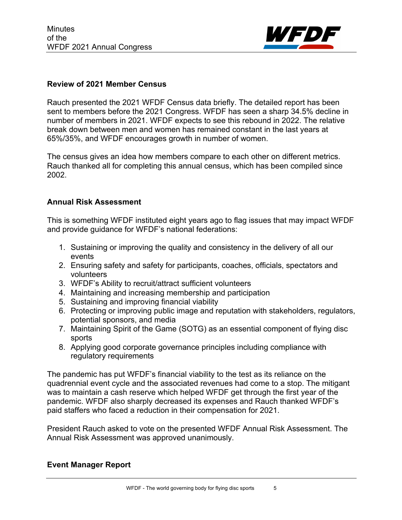

#### **Review of 2021 Member Census**

Rauch presented the 2021 WFDF Census data briefly. The detailed report has been sent to members before the 2021 Congress. WFDF has seen a sharp 34.5% decline in number of members in 2021. WFDF expects to see this rebound in 2022. The relative break down between men and women has remained constant in the last years at 65%/35%, and WFDF encourages growth in number of women.

The census gives an idea how members compare to each other on different metrics. Rauch thanked all for completing this annual census, which has been compiled since 2002.

#### **Annual Risk Assessment**

This is something WFDF instituted eight years ago to flag issues that may impact WFDF and provide guidance for WFDF's national federations:

- 1. Sustaining or improving the quality and consistency in the delivery of all our events
- 2. Ensuring safety and safety for participants, coaches, officials, spectators and volunteers
- 3. WFDF's Ability to recruit/attract sufficient volunteers
- 4. Maintaining and increasing membership and participation
- 5. Sustaining and improving financial viability
- 6. Protecting or improving public image and reputation with stakeholders, regulators, potential sponsors, and media
- 7. Maintaining Spirit of the Game (SOTG) as an essential component of flying disc sports
- 8. Applying good corporate governance principles including compliance with regulatory requirements

The pandemic has put WFDF's financial viability to the test as its reliance on the quadrennial event cycle and the associated revenues had come to a stop. The mitigant was to maintain a cash reserve which helped WFDF get through the first year of the pandemic. WFDF also sharply decreased its expenses and Rauch thanked WFDF's paid staffers who faced a reduction in their compensation for 2021.

President Rauch asked to vote on the presented WFDF Annual Risk Assessment. The Annual Risk Assessment was approved unanimously.

## **Event Manager Report**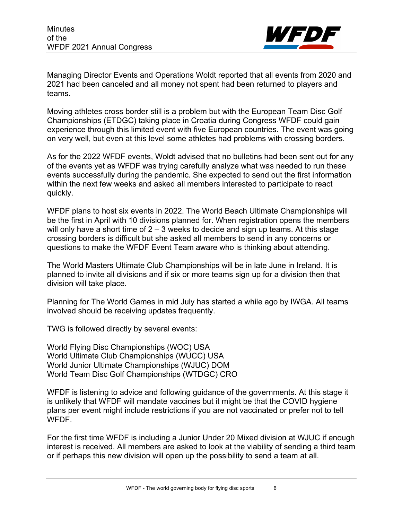

Managing Director Events and Operations Woldt reported that all events from 2020 and 2021 had been canceled and all money not spent had been returned to players and teams.

Moving athletes cross border still is a problem but with the European Team Disc Golf Championships (ETDGC) taking place in Croatia during Congress WFDF could gain experience through this limited event with five European countries. The event was going on very well, but even at this level some athletes had problems with crossing borders.

As for the 2022 WFDF events, Woldt advised that no bulletins had been sent out for any of the events yet as WFDF was trying carefully analyze what was needed to run these events successfully during the pandemic. She expected to send out the first information within the next few weeks and asked all members interested to participate to react quickly.

WFDF plans to host six events in 2022. The World Beach Ultimate Championships will be the first in April with 10 divisions planned for. When registration opens the members will only have a short time of  $2 - 3$  weeks to decide and sign up teams. At this stage crossing borders is difficult but she asked all members to send in any concerns or questions to make the WFDF Event Team aware who is thinking about attending.

The World Masters Ultimate Club Championships will be in late June in Ireland. It is planned to invite all divisions and if six or more teams sign up for a division then that division will take place.

Planning for The World Games in mid July has started a while ago by IWGA. All teams involved should be receiving updates frequently.

TWG is followed directly by several events:

World Flying Disc Championships (WOC) USA World Ultimate Club Championships (WUCC) USA World Junior Ultimate Championships (WJUC) DOM World Team Disc Golf Championships (WTDGC) CRO

WFDF is listening to advice and following guidance of the governments. At this stage it is unlikely that WFDF will mandate vaccines but it might be that the COVID hygiene plans per event might include restrictions if you are not vaccinated or prefer not to tell WFDF.

For the first time WFDF is including a Junior Under 20 Mixed division at WJUC if enough interest is received. All members are asked to look at the viability of sending a third team or if perhaps this new division will open up the possibility to send a team at all.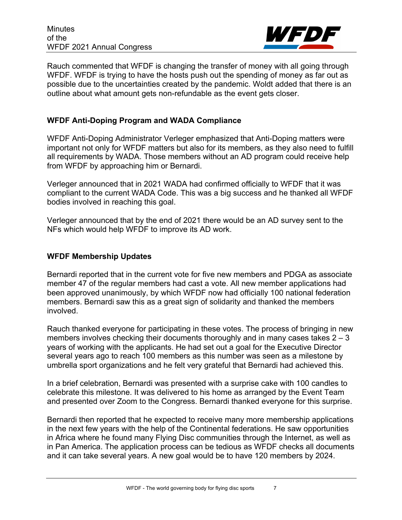**Minutes** of the WFDF 2021 Annual Congress



Rauch commented that WFDF is changing the transfer of money with all going through WFDF. WFDF is trying to have the hosts push out the spending of money as far out as possible due to the uncertainties created by the pandemic. Woldt added that there is an outline about what amount gets non-refundable as the event gets closer.

## **WFDF Anti-Doping Program and WADA Compliance**

WFDF Anti-Doping Administrator Verleger emphasized that Anti-Doping matters were important not only for WFDF matters but also for its members, as they also need to fulfill all requirements by WADA. Those members without an AD program could receive help from WFDF by approaching him or Bernardi.

Verleger announced that in 2021 WADA had confirmed officially to WFDF that it was compliant to the current WADA Code. This was a big success and he thanked all WFDF bodies involved in reaching this goal.

Verleger announced that by the end of 2021 there would be an AD survey sent to the NFs which would help WFDF to improve its AD work.

#### **WFDF Membership Updates**

Bernardi reported that in the current vote for five new members and PDGA as associate member 47 of the regular members had cast a vote. All new member applications had been approved unanimously, by which WFDF now had officially 100 national federation members. Bernardi saw this as a great sign of solidarity and thanked the members involved.

Rauch thanked everyone for participating in these votes. The process of bringing in new members involves checking their documents thoroughly and in many cases takes  $2 - 3$ years of working with the applicants. He had set out a goal for the Executive Director several years ago to reach 100 members as this number was seen as a milestone by umbrella sport organizations and he felt very grateful that Bernardi had achieved this.

In a brief celebration, Bernardi was presented with a surprise cake with 100 candles to celebrate this milestone. It was delivered to his home as arranged by the Event Team and presented over Zoom to the Congress. Bernardi thanked everyone for this surprise.

Bernardi then reported that he expected to receive many more membership applications in the next few years with the help of the Continental federations. He saw opportunities in Africa where he found many Flying Disc communities through the Internet, as well as in Pan America. The application process can be tedious as WFDF checks all documents and it can take several years. A new goal would be to have 120 members by 2024.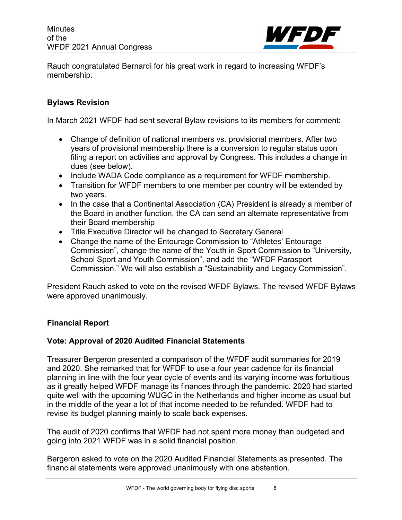

Rauch congratulated Bernardi for his great work in regard to increasing WFDF's membership.

## **Bylaws Revision**

In March 2021 WFDF had sent several Bylaw revisions to its members for comment:

- Change of definition of national members vs. provisional members. After two years of provisional membership there is a conversion to regular status upon filing a report on activities and approval by Congress. This includes a change in dues (see below).
- Include WADA Code compliance as a requirement for WFDF membership.
- Transition for WFDF members to one member per country will be extended by two years.
- In the case that a Continental Association (CA) President is already a member of the Board in another function, the CA can send an alternate representative from their Board membership
- Title Executive Director will be changed to Secretary General
- Change the name of the Entourage Commission to "Athletes' Entourage Commission", change the name of the Youth in Sport Commission to "University, School Sport and Youth Commission", and add the "WFDF Parasport Commission." We will also establish a "Sustainability and Legacy Commission".

President Rauch asked to vote on the revised WFDF Bylaws. The revised WFDF Bylaws were approved unanimously.

## **Financial Report**

## **Vote: Approval of 2020 Audited Financial Statements**

Treasurer Bergeron presented a comparison of the WFDF audit summaries for 2019 and 2020. She remarked that for WFDF to use a four year cadence for its financial planning in line with the four year cycle of events and its varying income was fortuitious as it greatly helped WFDF manage its finances through the pandemic. 2020 had started quite well with the upcoming WUGC in the Netherlands and higher income as usual but in the middle of the year a lot of that income needed to be refunded. WFDF had to revise its budget planning mainly to scale back expenses.

The audit of 2020 confirms that WFDF had not spent more money than budgeted and going into 2021 WFDF was in a solid financial position.

Bergeron asked to vote on the 2020 Audited Financial Statements as presented. The financial statements were approved unanimously with one abstention.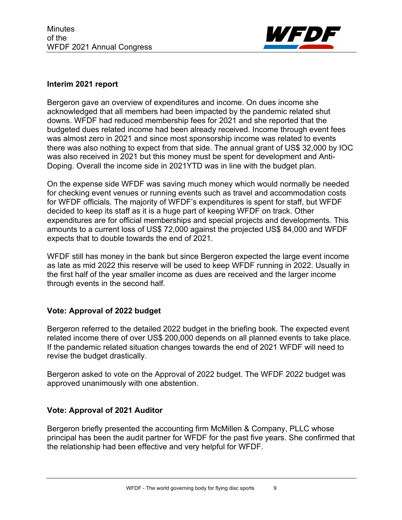

#### **Interim 2021 report**

Bergeron gave an overview of expenditures and income. On dues income she acknowledged that all members had been impacted by the pandemic related shut downs. WFDF had reduced membership fees for 2021 and she reported that the budgeted dues related income had been already received. Income through event fees was almost zero in 2021 and since most sponsorship income was related to events there was also nothing to expect from that side. The annual grant of US\$ 32,000 by IOC was also received in 2021 but this money must be spent for development and Anti-Doping. Overall the income side in 2021YTD was in line with the budget plan.

On the expense side WFDF was saving much money which would normally be needed for checking event venues or running events such as travel and accommodation costs for WFDF officials. The majority of WFDF's expenditures is spent for staff, but WFDF decided to keep its staff as it is a huge part of keeping WFDF on track. Other expenditures are for official memberships and special projects and developments. This amounts to a current loss of US\$ 72,000 against the projected US\$ 84,000 and WFDF expects that to double towards the end of 2021.

WFDF still has money in the bank but since Bergeron expected the large event income as late as mid 2022 this reserve will be used to keep WFDF running in 2022. Usually in the first half of the year smaller income as dues are received and the larger income through events in the second half.

## **Vote: Approval of 2022 budget**

Bergeron referred to the detailed 2022 budget in the briefing book. The expected event related income there of over US\$ 200,000 depends on all planned events to take place. If the pandemic related situation changes towards the end of 2021 WFDF will need to revise the budget drastically.

Bergeron asked to vote on the Approval of 2022 budget. The WFDF 2022 budget was approved unanimously with one abstention.

## **Vote: Approval of 2021 Auditor**

Bergeron briefly presented the accounting firm McMillen & Company, PLLC whose principal has been the audit partner for WFDF for the past five years. She confirmed that the relationship had been effective and very helpful for WFDF.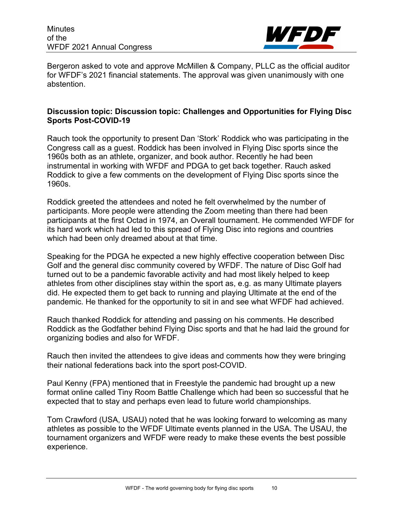**Minutes** of the WFDF 2021 Annual Congress



Bergeron asked to vote and approve McMillen & Company, PLLC as the official auditor for WFDF's 2021 financial statements. The approval was given unanimously with one abstention.

## **Discussion topic: Discussion topic: Challenges and Opportunities for Flying Disc Sports Post-COVID-19**

Rauch took the opportunity to present Dan 'Stork' Roddick who was participating in the Congress call as a guest. Roddick has been involved in Flying Disc sports since the 1960s both as an athlete, organizer, and book author. Recently he had been instrumental in working with WFDF and PDGA to get back together. Rauch asked Roddick to give a few comments on the development of Flying Disc sports since the 1960s.

Roddick greeted the attendees and noted he felt overwhelmed by the number of participants. More people were attending the Zoom meeting than there had been participants at the first Octad in 1974, an Overall tournament. He commended WFDF for its hard work which had led to this spread of Flying Disc into regions and countries which had been only dreamed about at that time.

Speaking for the PDGA he expected a new highly effective cooperation between Disc Golf and the general disc community covered by WFDF. The nature of Disc Golf had turned out to be a pandemic favorable activity and had most likely helped to keep athletes from other disciplines stay within the sport as, e.g. as many Ultimate players did. He expected them to get back to running and playing Ultimate at the end of the pandemic. He thanked for the opportunity to sit in and see what WFDF had achieved.

Rauch thanked Roddick for attending and passing on his comments. He described Roddick as the Godfather behind Flying Disc sports and that he had laid the ground for organizing bodies and also for WFDF.

Rauch then invited the attendees to give ideas and comments how they were bringing their national federations back into the sport post-COVID.

Paul Kenny (FPA) mentioned that in Freestyle the pandemic had brought up a new format online called Tiny Room Battle Challenge which had been so successful that he expected that to stay and perhaps even lead to future world championships.

Tom Crawford (USA, USAU) noted that he was looking forward to welcoming as many athletes as possible to the WFDF Ultimate events planned in the USA. The USAU, the tournament organizers and WFDF were ready to make these events the best possible experience.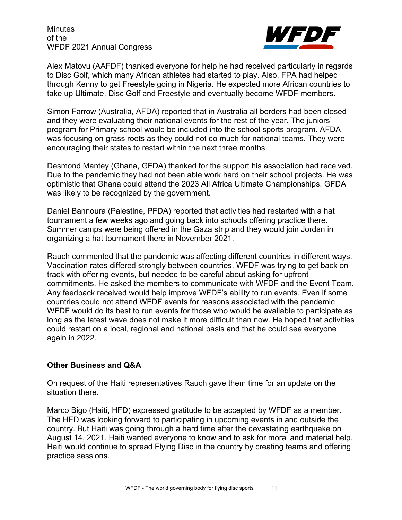

Alex Matovu (AAFDF) thanked everyone for help he had received particularly in regards to Disc Golf, which many African athletes had started to play. Also, FPA had helped through Kenny to get Freestyle going in Nigeria. He expected more African countries to take up Ultimate, Disc Golf and Freestyle and eventually become WFDF members.

Simon Farrow (Australia, AFDA) reported that in Australia all borders had been closed and they were evaluating their national events for the rest of the year. The juniors' program for Primary school would be included into the school sports program. AFDA was focusing on grass roots as they could not do much for national teams. They were encouraging their states to restart within the next three months.

Desmond Mantey (Ghana, GFDA) thanked for the support his association had received. Due to the pandemic they had not been able work hard on their school projects. He was optimistic that Ghana could attend the 2023 All Africa Ultimate Championships. GFDA was likely to be recognized by the government.

Daniel Bannoura (Palestine, PFDA) reported that activities had restarted with a hat tournament a few weeks ago and going back into schools offering practice there. Summer camps were being offered in the Gaza strip and they would join Jordan in organizing a hat tournament there in November 2021.

Rauch commented that the pandemic was affecting different countries in different ways. Vaccination rates differed strongly between countries. WFDF was trying to get back on track with offering events, but needed to be careful about asking for upfront commitments. He asked the members to communicate with WFDF and the Event Team. Any feedback received would help improve WFDF's ability to run events. Even if some countries could not attend WFDF events for reasons associated with the pandemic WFDF would do its best to run events for those who would be available to participate as long as the latest wave does not make it more difficult than now. He hoped that activities could restart on a local, regional and national basis and that he could see everyone again in 2022.

## **Other Business and Q&A**

On request of the Haiti representatives Rauch gave them time for an update on the situation there.

Marco Bigo (Haiti, HFD) expressed gratitude to be accepted by WFDF as a member. The HFD was looking forward to participating in upcoming events in and outside the country. But Haiti was going through a hard time after the devastating earthquake on August 14, 2021. Haiti wanted everyone to know and to ask for moral and material help. Haiti would continue to spread Flying Disc in the country by creating teams and offering practice sessions.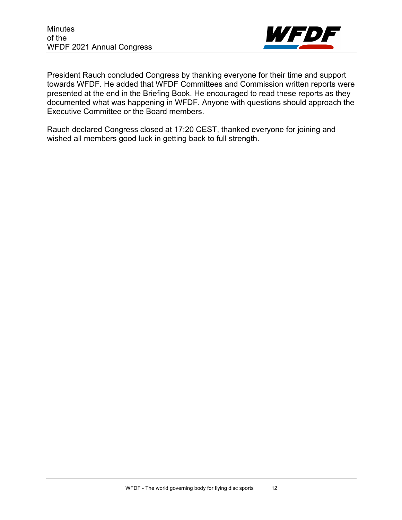

President Rauch concluded Congress by thanking everyone for their time and support towards WFDF. He added that WFDF Committees and Commission written reports were presented at the end in the Briefing Book. He encouraged to read these reports as they documented what was happening in WFDF. Anyone with questions should approach the Executive Committee or the Board members.

Rauch declared Congress closed at 17:20 CEST, thanked everyone for joining and wished all members good luck in getting back to full strength.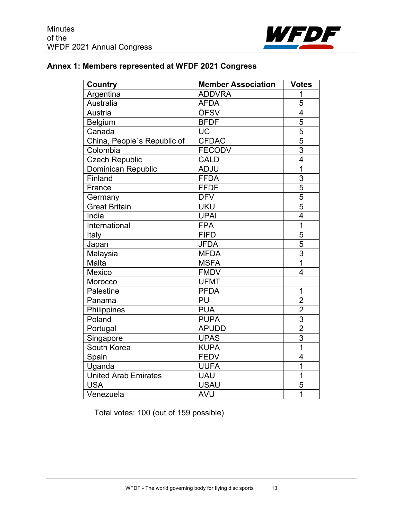

# **Annex 1: Members represented at WFDF 2021 Congress**

| Country                     | <b>Member Association</b> | <b>Votes</b>            |
|-----------------------------|---------------------------|-------------------------|
| Argentina                   | <b>ADDVRA</b>             | 1                       |
| Australia                   | <b>AFDA</b>               | 5                       |
| Austria                     | ÖFSV                      | $\overline{4}$          |
| Belgium                     | <b>BFDF</b>               | $\overline{5}$          |
| Canada                      | <b>UC</b>                 | $\overline{5}$          |
| China, People's Republic of | <b>CFDAC</b>              | $\overline{5}$          |
| Colombia                    | <b>FECODV</b>             | $\overline{3}$          |
| <b>Czech Republic</b>       | <b>CALD</b>               | $\overline{4}$          |
| <b>Dominican Republic</b>   | <b>ADJU</b>               | 1                       |
| Finland                     | <b>FFDA</b>               | $\overline{3}$          |
| France                      | <b>FFDF</b>               | $\overline{5}$          |
| Germany                     | <b>DFV</b>                | $\overline{5}$          |
| <b>Great Britain</b>        | <b>UKU</b>                | $\overline{5}$          |
| India                       | <b>UPAI</b>               | $\overline{4}$          |
| International               | <b>FPA</b>                | $\overline{1}$          |
| Italy                       | <b>FIFD</b>               | 5                       |
| Japan                       | <b>JFDA</b>               | $\overline{5}$          |
| Malaysia                    | <b>MFDA</b>               | $\overline{3}$          |
| Malta                       | <b>MSFA</b>               | $\overline{1}$          |
| Mexico                      | <b>FMDV</b>               | $\overline{\mathbf{4}}$ |
| Morocco                     | <b>UFMT</b>               |                         |
| Palestine                   | <b>PFDA</b>               | $\overline{1}$          |
| Panama                      | PU                        | $\overline{2}$          |
| Philippines                 | <b>PUA</b>                | $\overline{2}$          |
| Poland                      | <b>PUPA</b>               | $\overline{3}$          |
| Portugal                    | <b>APUDD</b>              | $\overline{2}$          |
| Singapore                   | <b>UPAS</b>               | $\overline{3}$          |
| South Korea                 | <b>KUPA</b>               | $\overline{1}$          |
| Spain                       | <b>FEDV</b>               | $\overline{4}$          |
| Uganda                      | <b>UUFA</b>               | 1                       |
| <b>United Arab Emirates</b> | <b>UAU</b>                | 1                       |
| <b>USA</b>                  | <b>USAU</b>               | 5                       |
| Venezuela                   | <b>AVU</b>                | 1                       |

Total votes: 100 (out of 159 possible)